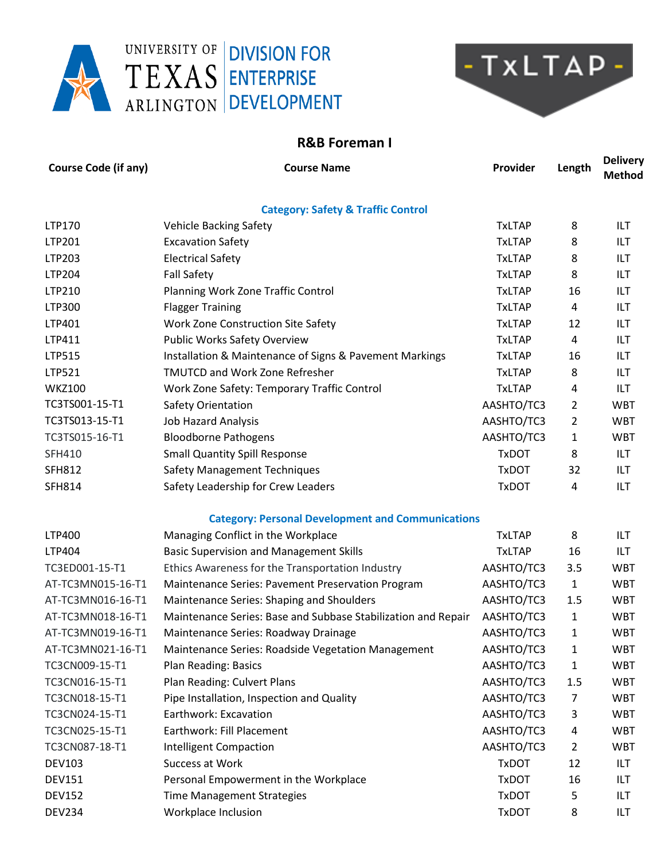



## **R&B Foreman I**

| <b>Course Code (if any)</b> | <b>Course Name</b>                                            | Provider      | Length         | <b>Delivery</b><br><b>Method</b> |
|-----------------------------|---------------------------------------------------------------|---------------|----------------|----------------------------------|
|                             | <b>Category: Safety &amp; Traffic Control</b>                 |               |                |                                  |
| LTP170                      | <b>Vehicle Backing Safety</b>                                 | <b>TxLTAP</b> | 8              | ILT                              |
| LTP201                      | <b>Excavation Safety</b>                                      | <b>TxLTAP</b> | 8              | ILT                              |
| LTP203                      | <b>Electrical Safety</b>                                      | <b>TxLTAP</b> | 8              | ILT                              |
| LTP204                      | <b>Fall Safety</b>                                            | <b>TxLTAP</b> | 8              | ILT                              |
| LTP210                      | Planning Work Zone Traffic Control                            | <b>TxLTAP</b> | 16             | ILT                              |
| LTP300                      | <b>Flagger Training</b>                                       | <b>TxLTAP</b> | 4              | ILT                              |
| LTP401                      | Work Zone Construction Site Safety                            | <b>TxLTAP</b> | 12             | ILT                              |
| LTP411                      | <b>Public Works Safety Overview</b>                           | <b>TxLTAP</b> | 4              | ILT                              |
| LTP515                      | Installation & Maintenance of Signs & Pavement Markings       | <b>TxLTAP</b> | 16             | ILT                              |
| LTP521                      | <b>TMUTCD and Work Zone Refresher</b>                         | <b>TxLTAP</b> | 8              | ILT                              |
| <b>WKZ100</b>               | Work Zone Safety: Temporary Traffic Control                   | <b>TxLTAP</b> | 4              | ILT                              |
| TC3TS001-15-T1              | Safety Orientation                                            | AASHTO/TC3    | 2              | <b>WBT</b>                       |
| TC3TS013-15-T1              | <b>Job Hazard Analysis</b>                                    | AASHTO/TC3    | 2              | <b>WBT</b>                       |
| TC3TS015-16-T1              | <b>Bloodborne Pathogens</b>                                   | AASHTO/TC3    | 1              | <b>WBT</b>                       |
| SFH410                      | <b>Small Quantity Spill Response</b>                          | <b>TxDOT</b>  | 8              | ILT                              |
| <b>SFH812</b>               | <b>Safety Management Techniques</b>                           | <b>TxDOT</b>  | 32             | ILT                              |
| <b>SFH814</b>               | Safety Leadership for Crew Leaders                            | <b>TxDOT</b>  | 4              | ILT                              |
|                             | <b>Category: Personal Development and Communications</b>      |               |                |                                  |
| LTP400                      | Managing Conflict in the Workplace                            | <b>TxLTAP</b> | 8              | ILT                              |
| LTP404                      | <b>Basic Supervision and Management Skills</b>                | <b>TxLTAP</b> | 16             | ILT                              |
| TC3ED001-15-T1              | Ethics Awareness for the Transportation Industry              | AASHTO/TC3    | 3.5            | <b>WBT</b>                       |
| AT-TC3MN015-16-T1           | Maintenance Series: Pavement Preservation Program             | AASHTO/TC3    | 1              | <b>WBT</b>                       |
| AT-TC3MN016-16-T1           | Maintenance Series: Shaping and Shoulders                     | AASHTO/TC3    | 1.5            | <b>WBT</b>                       |
| AT-TC3MN018-16-T1           | Maintenance Series: Base and Subbase Stabilization and Repair | AASHTO/TC3    | 1              | <b>WBT</b>                       |
| AT-TC3MN019-16-T1           | Maintenance Series: Roadway Drainage                          | AASHTO/TC3    | 1              | <b>WBT</b>                       |
| AT-TC3MN021-16-T1           | Maintenance Series: Roadside Vegetation Management            | AASHTO/TC3    | 1              | <b>WBT</b>                       |
| TC3CN009-15-T1              | Plan Reading: Basics                                          | AASHTO/TC3    | 1              | <b>WBT</b>                       |
| TC3CN016-15-T1              | Plan Reading: Culvert Plans                                   | AASHTO/TC3    | 1.5            | <b>WBT</b>                       |
| TC3CN018-15-T1              | Pipe Installation, Inspection and Quality                     | AASHTO/TC3    | $\overline{7}$ | <b>WBT</b>                       |
| TC3CN024-15-T1              | Earthwork: Excavation                                         | AASHTO/TC3    | 3              | <b>WBT</b>                       |
| TC3CN025-15-T1              | Earthwork: Fill Placement                                     | AASHTO/TC3    | 4              | <b>WBT</b>                       |
| TC3CN087-18-T1              | <b>Intelligent Compaction</b>                                 | AASHTO/TC3    | $\overline{2}$ | <b>WBT</b>                       |
| <b>DEV103</b>               | Success at Work                                               | <b>TxDOT</b>  | 12             | <b>ILT</b>                       |
| <b>DEV151</b>               | Personal Empowerment in the Workplace                         | <b>TxDOT</b>  | 16             | ILT                              |
| <b>DEV152</b>               | <b>Time Management Strategies</b>                             | <b>TxDOT</b>  | 5              | ILT                              |
| <b>DEV234</b>               | Workplace Inclusion                                           | <b>TxDOT</b>  | 8              | ILT                              |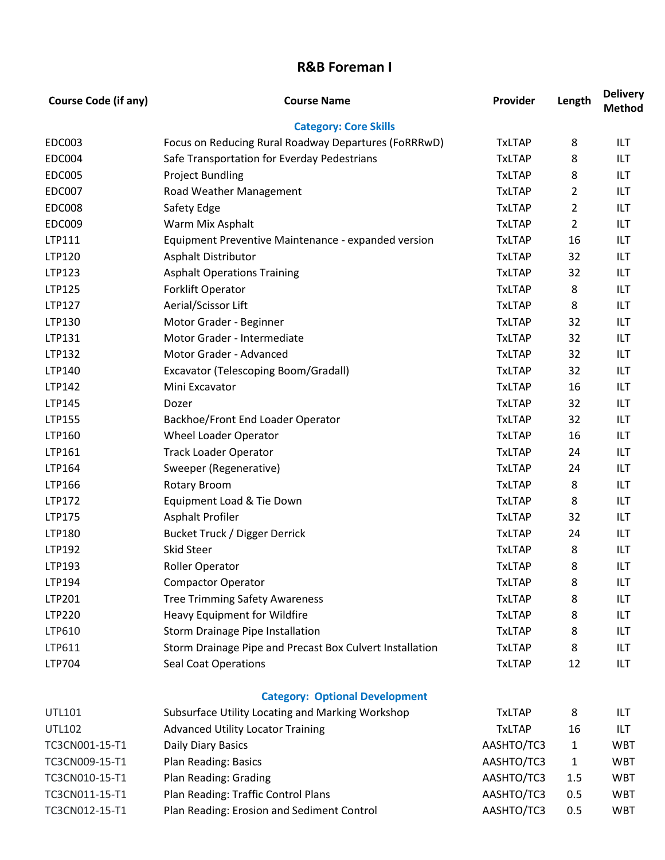## **R&B Foreman I**

| <b>Course Code (if any)</b> | <b>Course Name</b>                                       | Provider      | Length         | <b>Delivery</b><br><b>Method</b> |
|-----------------------------|----------------------------------------------------------|---------------|----------------|----------------------------------|
|                             | <b>Category: Core Skills</b>                             |               |                |                                  |
| <b>EDC003</b>               | Focus on Reducing Rural Roadway Departures (FoRRRwD)     | <b>TxLTAP</b> | 8              | <b>ILT</b>                       |
| <b>EDC004</b>               | Safe Transportation for Everday Pedestrians              | <b>TxLTAP</b> | 8              | <b>ILT</b>                       |
| <b>EDC005</b>               | <b>Project Bundling</b>                                  | <b>TxLTAP</b> | 8              | ILT                              |
| <b>EDC007</b>               | Road Weather Management                                  | <b>TxLTAP</b> | $\overline{2}$ | <b>ILT</b>                       |
| <b>EDC008</b>               | Safety Edge                                              | <b>TxLTAP</b> | 2              | ILT                              |
| <b>EDC009</b>               | Warm Mix Asphalt                                         | <b>TxLTAP</b> | $\overline{2}$ | <b>ILT</b>                       |
| LTP111                      | Equipment Preventive Maintenance - expanded version      | <b>TxLTAP</b> | 16             | ILT                              |
| LTP120                      | <b>Asphalt Distributor</b>                               | <b>TxLTAP</b> | 32             | <b>ILT</b>                       |
| LTP123                      | <b>Asphalt Operations Training</b>                       | <b>TxLTAP</b> | 32             | ILT                              |
| LTP125                      | Forklift Operator                                        | <b>TxLTAP</b> | 8              | <b>ILT</b>                       |
| LTP127                      | Aerial/Scissor Lift                                      | <b>TxLTAP</b> | 8              | ILT                              |
| LTP130                      | Motor Grader - Beginner                                  | <b>TxLTAP</b> | 32             | <b>ILT</b>                       |
| LTP131                      | Motor Grader - Intermediate                              | <b>TxLTAP</b> | 32             | ILT                              |
| LTP132                      | Motor Grader - Advanced                                  | <b>TxLTAP</b> | 32             | <b>ILT</b>                       |
| LTP140                      | Excavator (Telescoping Boom/Gradall)                     | <b>TxLTAP</b> | 32             | ILT                              |
| LTP142                      | Mini Excavator                                           | <b>TxLTAP</b> | 16             | <b>ILT</b>                       |
| LTP145                      | Dozer                                                    | <b>TxLTAP</b> | 32             | ILT                              |
| LTP155                      | Backhoe/Front End Loader Operator                        | <b>TxLTAP</b> | 32             | <b>ILT</b>                       |
| LTP160                      | Wheel Loader Operator                                    | <b>TxLTAP</b> | 16             | ILT                              |
| LTP161                      | <b>Track Loader Operator</b>                             | <b>TxLTAP</b> | 24             | <b>ILT</b>                       |
| LTP164                      | Sweeper (Regenerative)                                   | <b>TxLTAP</b> | 24             | ILT                              |
| LTP166                      | <b>Rotary Broom</b>                                      | <b>TxLTAP</b> | 8              | <b>ILT</b>                       |
| LTP172                      | Equipment Load & Tie Down                                | <b>TxLTAP</b> | 8              | ILT                              |
| LTP175                      | <b>Asphalt Profiler</b>                                  | <b>TxLTAP</b> | 32             | <b>ILT</b>                       |
| LTP180                      | <b>Bucket Truck / Digger Derrick</b>                     | <b>TxLTAP</b> | 24             | ILT                              |
| LTP192                      | <b>Skid Steer</b>                                        | <b>TxLTAP</b> | 8              | <b>ILT</b>                       |
| LTP193                      | <b>Roller Operator</b>                                   | <b>TxLTAP</b> | 8              | ILT                              |
| LTP194                      | <b>Compactor Operator</b>                                | <b>TxLTAP</b> | 8              | ILT                              |
| LTP201                      | <b>Tree Trimming Safety Awareness</b>                    | <b>TxLTAP</b> | 8              | ILT                              |
| LTP220                      | Heavy Equipment for Wildfire                             | <b>TxLTAP</b> | 8              | <b>ILT</b>                       |
| LTP610                      | Storm Drainage Pipe Installation                         | <b>TxLTAP</b> | 8              | ILT                              |
| LTP611                      | Storm Drainage Pipe and Precast Box Culvert Installation | <b>TxLTAP</b> | 8              | <b>ILT</b>                       |
| LTP704                      | <b>Seal Coat Operations</b>                              | <b>TxLTAP</b> | 12             | ILT                              |
|                             | <b>Category: Optional Development</b>                    |               |                |                                  |
| <b>UTL101</b>               | Subsurface Utility Locating and Marking Workshop         | <b>TxLTAP</b> | 8              | ILT                              |
| <b>UTL102</b>               | <b>Advanced Utility Locator Training</b>                 | <b>TxLTAP</b> | 16             | ILT                              |
| TC3CN001-15-T1              | Daily Diary Basics                                       | AASHTO/TC3    | $\mathbf{1}$   | <b>WBT</b>                       |
| TC3CN009-15-T1              | Plan Reading: Basics                                     | AASHTO/TC3    | $\mathbf{1}$   | <b>WBT</b>                       |
| TC3CN010-15-T1              | Plan Reading: Grading                                    | AASHTO/TC3    | 1.5            | <b>WBT</b>                       |
| TC3CN011-15-T1              | Plan Reading: Traffic Control Plans                      | AASHTO/TC3    | 0.5            | <b>WBT</b>                       |
| TC3CN012-15-T1              | Plan Reading: Erosion and Sediment Control               | AASHTO/TC3    | 0.5            | <b>WBT</b>                       |